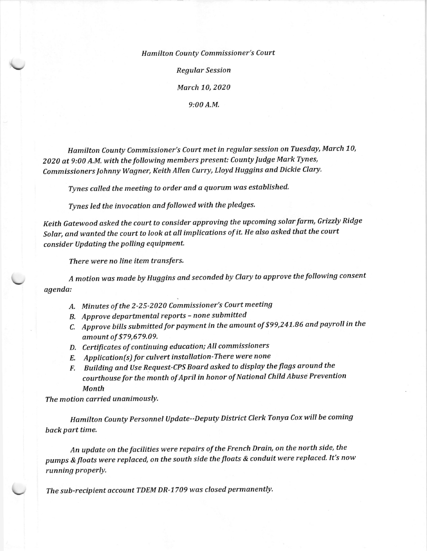Hamilton County Commissioner's Court Regular Session March 10, 2020 9:00 A.M.

Hamilton County Commissioner's Court met in regular session on Tuesday, March 70, <sup>2020</sup>at 9:00 A.M. with the following members present: County Judge Mark Tynes, Commissioners Johnny Wagner, Keith Allen Curry, Lloyd Huggins and Dickie Clary.

Tynes called the meeting to order and a quorum was established.

Tynes led the invocation and followed with the pledges.

Keith Gatewood asked the court to consider approving the upcoming solar farm, Grizzly Ridge Solar, and wanted the court to look at all implications of it. He also asked that the court consider Updating the polling equipment.

There were no line item transfers.

 $\overline{\phantom{a}}$ 

A motionwas made by Huggins and seconded by Clary to approve the following consent agenda:

- A. Minutes of the 2-25-2020 Commissioner's Court meeting
- B. Approve departmental reports none submitted
- C, Approve bills submitted for payment in the amount of \$99,247.86 and payroll in the amount of \$79,579.09.
- D. Certiftcates of continuing education; All commissioners
- E. Application(s) for culvert installation-There were none
- F. Building and Use Request-CPS Board asked to display the flags around the courthouse for the month of April in honor of National Child Abuse Prevention Month

The motion carried unanimouslY.

Hamilton County Personnel Update--Deputy District Clerk Tonya Cox will be coming back part time.

An update on the facilities were repairs of the French Drain, on the north side, the pumps & floats were replaced, on the south side the floats & conduit were replaced. It's now running properly.

The sub-recipient account TDEM DR-1709 was closed permanently.